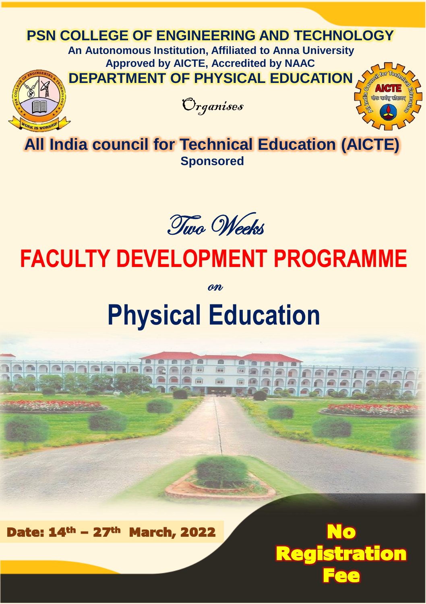# **PSN COLLEGE OF ENGINEERING AND TECHNOLOGY**

**An Autonomous Institution, Affiliated to Anna University Approved by AICTE, Accredited by NAAC DEPARTMENT OF PHYSICAL EDUCATION**





**All India council for Technical Education (AICTE) Sponsored**

Two Weeks

# **FACULTY DEVELOPMENT PROGRAMME**

on

# **Physical Education**

 $\sqrt{2\pi}$ 

e a a

F 1m im.

**ACAA**H

Registration

Fee

Date:  $14^{\text{th}}$  – 27<sup>th</sup> March, 2022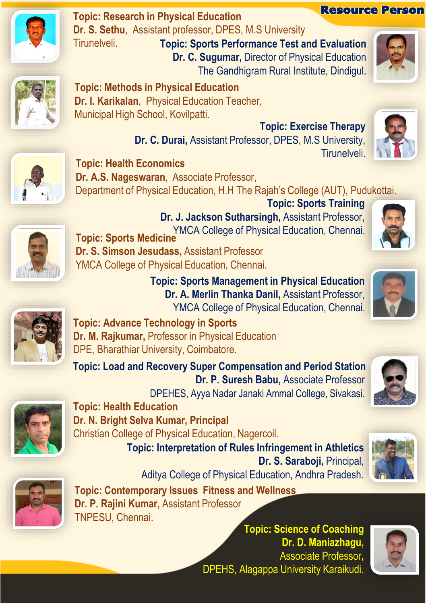

**Topic: Research in Physical Education Dr. S. Sethu**, Assistant professor, DPES, M.S University

Tirunelveli. **Topic: Sports Performance Test and Evaluation Dr. C. Sugumar,** Director of Physical Education The Gandhigram Rural Institute, Dindigul.



Resource Person



**Topic: Methods in Physical Education Dr. I. Karikalan**, Physical Education Teacher, Municipal High School, Kovilpatti.

> **Topic: Exercise Therapy Dr. C. Durai,** Assistant Professor, DPES, M.S University, Tirunelveli.



**Topic: Health Economics Dr. A.S. Nageswaran**, Associate Professor, Department of Physical Education, H.H The Rajah's College (AUT), Pudukottai.

**Topic: Sports Training Dr. J. Jackson Sutharsingh,** Assistant Professor, YMCA College of Physical Education, Chennai. **Topic: Sports Medicine**

**Dr. S. Simson Jesudass,** Assistant Professor YMCA College of Physical Education, Chennai.

> **Topic: Sports Management in Physical Education Dr. A. Merlin Thanka Danil,** Assistant Professor, YMCA College of Physical Education, Chennai.





**Topic: Advance Technology in Sports Dr. M. Rajkumar,** Professor in Physical Education DPE, Bharathiar University, Coimbatore.

**Topic: Load and Recovery Super Compensation and Period Station Dr. P. Suresh Babu,** Associate Professor

DPEHES, Ayya Nadar Janaki Ammal College, Sivakasi.





**Topic: Health Education Dr. N. Bright Selva Kumar, Principal** Christian College of Physical Education, Nagercoil.

**Topic: Interpretation of Rules Infringement in Athletics Dr. S. Saraboji,** Principal, Aditya College of Physical Education, Andhra Pradesh.



**Topic: Contemporary Issues Fitness and Wellness Dr. P. Rajini Kumar,** Assistant Professor TNPESU, Chennai.

**Topic: Science of Coaching Dr. D. Maniazhagu,**  Associate Professor**,** DPEHS, Alagappa University Karaikudi.





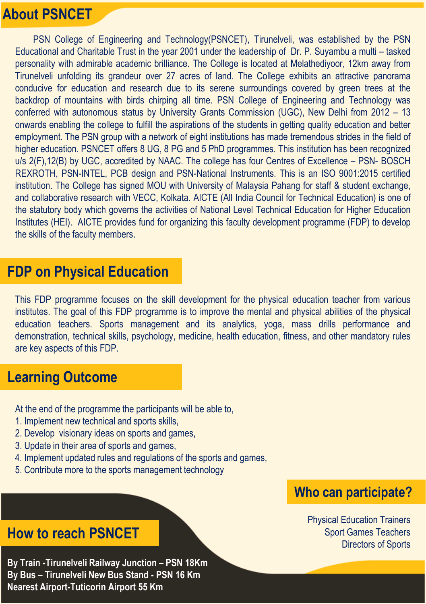# **About PSNCET**

PSN College of Engineering and Technology(PSNCET), Tirunelveli, was established by the PSN Educational and Charitable Trust in the year 2001 under the leadership of Dr. P. Suyambu a multi – tasked personality with admirable academic brilliance. The College is located at Melathediyoor, 12km away from Tirunelveli unfolding its grandeur over 27 acres of land. The College exhibits an attractive panorama conducive for education and research due to its serene surroundings covered by green trees at the backdrop of mountains with birds chirping all time. PSN College of Engineering and Technology was conferred with autonomous status by University Grants Commission (UGC), New Delhi from 2012 – 13 onwards enabling the college to fulfill the aspirations of the students in getting quality education and better employment. The PSN group with a network of eight institutions has made tremendous strides in the field of higher education. PSNCET offers 8 UG, 8 PG and 5 PhD programmes. This institution has been recognized u/s 2(F),12(B) by UGC, accredited by NAAC. The college has four Centres of Excellence – PSN- BOSCH REXROTH, PSN-INTEL, PCB design and PSN-National Instruments. This is an ISO 9001:2015 certified institution. The College has signed MOU with University of Malaysia Pahang for staff & student exchange, and collaborative research with VECC, Kolkata. AICTE (All India Council for Technical Education) is one of the statutory body which governs the activities of National Level Technical Education for Higher Education Institutes (HEI). AICTE provides fund for organizing this faculty development programme (FDP) to develop the skills of the faculty members.

#### **FDP on Physical Education**

This FDP programme focuses on the skill development for the physical education teacher from various institutes. The goal of this FDP programme is to improve the mental and physical abilities of the physical education teachers. Sports management and its analytics, yoga, mass drills performance and demonstration, technical skills, psychology, medicine, health education, fitness, and other mandatory rules are key aspects of this FDP.

#### **Learning Outcome**

At the end of the programme the participants will be able to,

- 1. Implement new technical and sports skills,
- 2. Develop visionary ideas on sports and games,
- 3. Update in their area of sports and games,
- 4. Implement updated rules and regulations of the sports and games,
- 5. Contribute more to the sports management technology

#### **Who can participate?**

Physical Education Trainers Sport Games Teachers Directors of Sports

#### **How to reach PSNCET**

**By Train -Tirunelveli Railway Junction – PSN 18Km By Bus – Tirunelveli New Bus Stand - PSN 16 Km Nearest Airport-Tuticorin Airport 55 Km**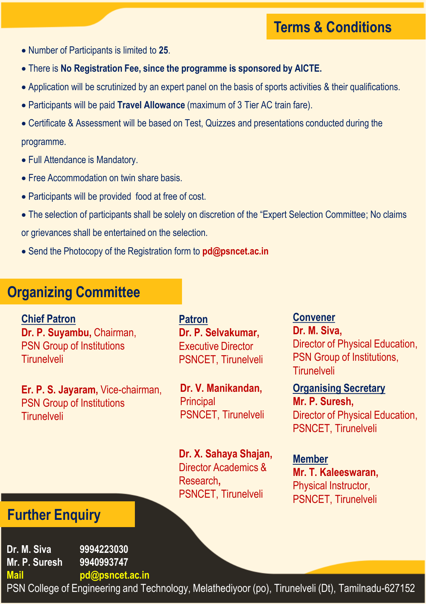# **Terms & Conditions**

- Number of Participants is limited to **25**.
- There is **No Registration Fee, since the programme is sponsored by AICTE.**
- Application will be scrutinized by an expert panel on the basis of sports activities & their qualifications.
- Participants will be paid **Travel Allowance** (maximum of 3 Tier AC train fare).
- Certificate & Assessment will be based on Test, Quizzes and presentations conducted during the programme.
- Full Attendance is Mandatory.
- Free Accommodation on twin share basis.
- Participants will be provided food at free of cost.
- The selection of participants shall be solely on discretion of the "Expert Selection Committee; No claims or grievances shall be entertained on the selection.
- Send the Photocopy of the Registration form to **pd@psncet.ac.in**

#### **Organizing Committee**

**Chief Patron Dr. P. Suyambu,** Chairman, PSN Group of Institutions Tirunelveli

**Er. P. S. Jayaram,** Vice-chairman, PSN Group of Institutions **Tirunelveli** 

**Patron Dr. P. Selvakumar,**  Executive Director PSNCET, Tirunelveli

**Dr. V. Manikandan, Principal** PSNCET, Tirunelveli

**Dr. X. Sahaya Shajan,**  Director Academics & Research**,**  PSNCET, Tirunelveli

**Convener Dr. M. Siva,**  Director of Physical Education, PSN Group of Institutions, Tirunelveli

**Organising Secretary Mr. P. Suresh,**  Director of Physical Education, PSNCET, Tirunelveli

**Member Mr. T. Kaleeswaran,** Physical Instructor, PSNCET, Tirunelveli

# **Further Enquiry**

**Dr. M. Siva 9994223030 Mr. P. Suresh 9940993747**

**Mail pd@psncet.ac.in**

PSN College of Engineering and Technology, Melathediyoor (po), Tirunelveli (Dt), Tamilnadu-627152